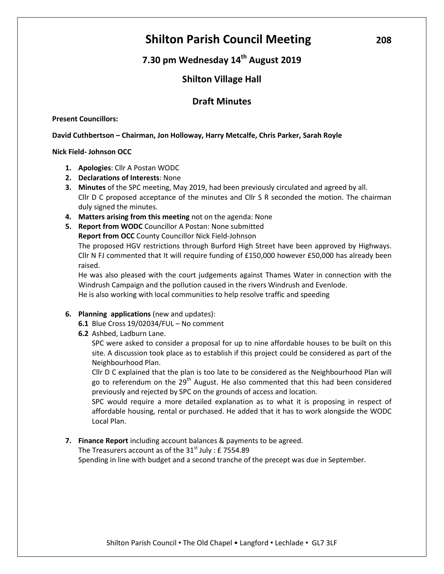# **Shilton Parish Council Meeting**  $208$

# **7.30 pm Wednesday 14th August 2019**

# **Shilton Village Hall**

# **Draft Minutes**

# **Present Councillors:**

# **David Cuthbertson – Chairman, Jon Holloway, Harry Metcalfe, Chris Parker, Sarah Royle**

# **Nick Field- Johnson OCC**

- **1. Apologies**: Cllr A Postan WODC
- **2. Declarations of Interests**: None
- **3. Minutes** of the SPC meeting, May 2019, had been previously circulated and agreed by all. Cllr D C proposed acceptance of the minutes and Cllr S R seconded the motion. The chairman duly signed the minutes.
- **4. Matters arising from this meeting** not on the agenda: None
- **5. Report from WODC** Councillor A Postan: None submitted **Report from OCC** County Councillor Nick Field-Johnson The proposed HGV restrictions through Burford High Street have been approved by Highways. Cllr N FJ commented that It will require funding of £150,000 however £50,000 has already been raised.

He was also pleased with the court judgements against Thames Water in connection with the Windrush Campaign and the pollution caused in the rivers Windrush and Evenlode. He is also working with local communities to help resolve traffic and speeding

- **6. Planning applications** (new and updates):
	- **6.1** Blue Cross 19/02034/FUL No comment
	- **6.2** Ashbed, Ladburn Lane.

SPC were asked to consider a proposal for up to nine affordable houses to be built on this site. A discussion took place as to establish if this project could be considered as part of the Neighbourhood Plan.

Cllr D C explained that the plan is too late to be considered as the Neighbourhood Plan will go to referendum on the  $29<sup>th</sup>$  August. He also commented that this had been considered previously and rejected by SPC on the grounds of access and location.

SPC would require a more detailed explanation as to what it is proposing in respect of affordable housing, rental or purchased. He added that it has to work alongside the WODC Local Plan.

**7. Finance Report** including account balances & payments to be agreed.

The Treasurers account as of the  $31<sup>st</sup>$  July : £ 7554.89

Spending in line with budget and a second tranche of the precept was due in September.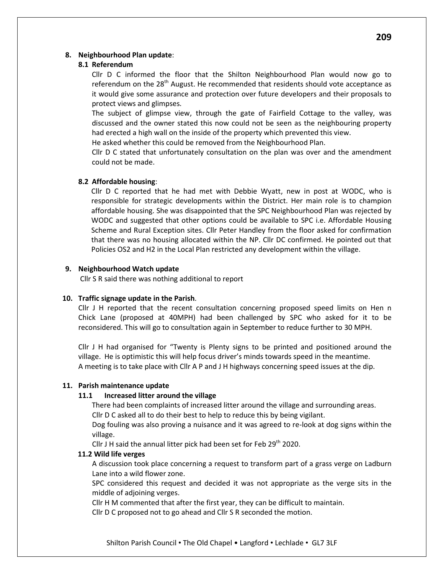#### **8. Neighbourhood Plan update**:

#### **8.1 Referendum**

Cllr D C informed the floor that the Shilton Neighbourhood Plan would now go to referendum on the  $28<sup>th</sup>$  August. He recommended that residents should vote acceptance as it would give some assurance and protection over future developers and their proposals to protect views and glimpses.

The subject of glimpse view, through the gate of Fairfield Cottage to the valley, was discussed and the owner stated this now could not be seen as the neighbouring property had erected a high wall on the inside of the property which prevented this view.

He asked whether this could be removed from the Neighbourhood Plan.

Cllr D C stated that unfortunately consultation on the plan was over and the amendment could not be made.

### **8.2 Affordable housing**:

Cllr D C reported that he had met with Debbie Wyatt, new in post at WODC, who is responsible for strategic developments within the District. Her main role is to champion affordable housing. She was disappointed that the SPC Neighbourhood Plan was rejected by WODC and suggested that other options could be available to SPC i.e. Affordable Housing Scheme and Rural Exception sites. Cllr Peter Handley from the floor asked for confirmation that there was no housing allocated within the NP. Cllr DC confirmed. He pointed out that Policies OS2 and H2 in the Local Plan restricted any development within the village.

### **9. Neighbourhood Watch update**

Cllr S R said there was nothing additional to report

# **10. Traffic signage update in the Parish**.

Cllr J H reported that the recent consultation concerning proposed speed limits on Hen n Chick Lane (proposed at 40MPH) had been challenged by SPC who asked for it to be reconsidered. This will go to consultation again in September to reduce further to 30 MPH.

Cllr J H had organised for "Twenty is Plenty signs to be printed and positioned around the village. He is optimistic this will help focus driver's minds towards speed in the meantime. A meeting is to take place with Cllr A P and J H highways concerning speed issues at the dip.

#### **11. Parish maintenance update**

# **11.1 Increased litter around the village**

There had been complaints of increased litter around the village and surrounding areas. Cllr D C asked all to do their best to help to reduce this by being vigilant.

Dog fouling was also proving a nuisance and it was agreed to re-look at dog signs within the village.

Cllr J H said the annual litter pick had been set for Feb  $29<sup>th</sup>$  2020.

# **11.2 Wild life verges**

A discussion took place concerning a request to transform part of a grass verge on Ladburn Lane into a wild flower zone.

SPC considered this request and decided it was not appropriate as the verge sits in the middle of adjoining verges.

Cllr H M commented that after the first year, they can be difficult to maintain.

Cllr D C proposed not to go ahead and Cllr S R seconded the motion.